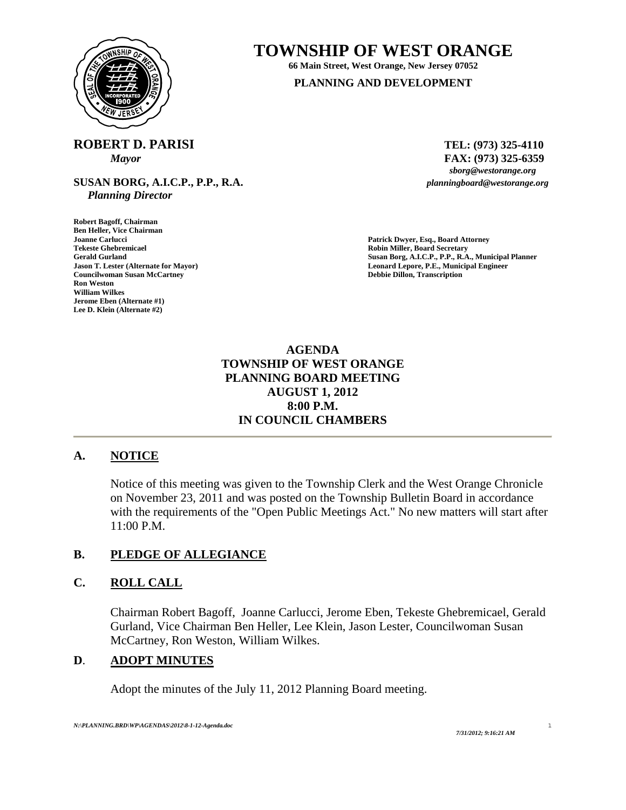

# **TOWNSHIP OF WEST ORANGE**

**66 Main Street, West Orange, New Jersey 07052 PLANNING AND DEVELOPMENT**

**ROBERT D. PARISI** TEL: (973) 325-4110

**SUSAN BORG, A.I.C.P., P.P., R.A.** *planningboard@westorange.org Planning Director* 

**Robert Bagoff, Chairman Ben Heller, Vice Chairman Joanne Carlucci Patrick Dwyer, Esq., Board Attorney Councilwoman Susan McCartney Debbie Dillon, Transcription William Wilkes Jerome Eben (Alternate #1) Lee D. Klein (Alternate #2)** 

*Mayor* **FAX:** (973) 325-6359<br>*sborg@westorange.org* 

**Robin Miller, Board Secretary Gerald Gurland Susan Borg, A.I.C.P., P.P., R.A., Municipal Planner Jason T. Lester (Alternate for Mayor) Leonard Lepore, P.E., Municipal Engineer** 

# **AGENDA TOWNSHIP OF WEST ORANGE PLANNING BOARD MEETING AUGUST 1, 2012 8:00 P.M. IN COUNCIL CHAMBERS**

# **A. NOTICE**

Notice of this meeting was given to the Township Clerk and the West Orange Chronicle on November 23, 2011 and was posted on the Township Bulletin Board in accordance with the requirements of the "Open Public Meetings Act." No new matters will start after 11:00 P.M.

# **B. PLEDGE OF ALLEGIANCE**

# **C. ROLL CALL**

Chairman Robert Bagoff, Joanne Carlucci, Jerome Eben, Tekeste Ghebremicael, Gerald Gurland, Vice Chairman Ben Heller, Lee Klein, Jason Lester, Councilwoman Susan McCartney, Ron Weston, William Wilkes.

#### **D**. **ADOPT MINUTES**

Adopt the minutes of the July 11, 2012 Planning Board meeting.

1